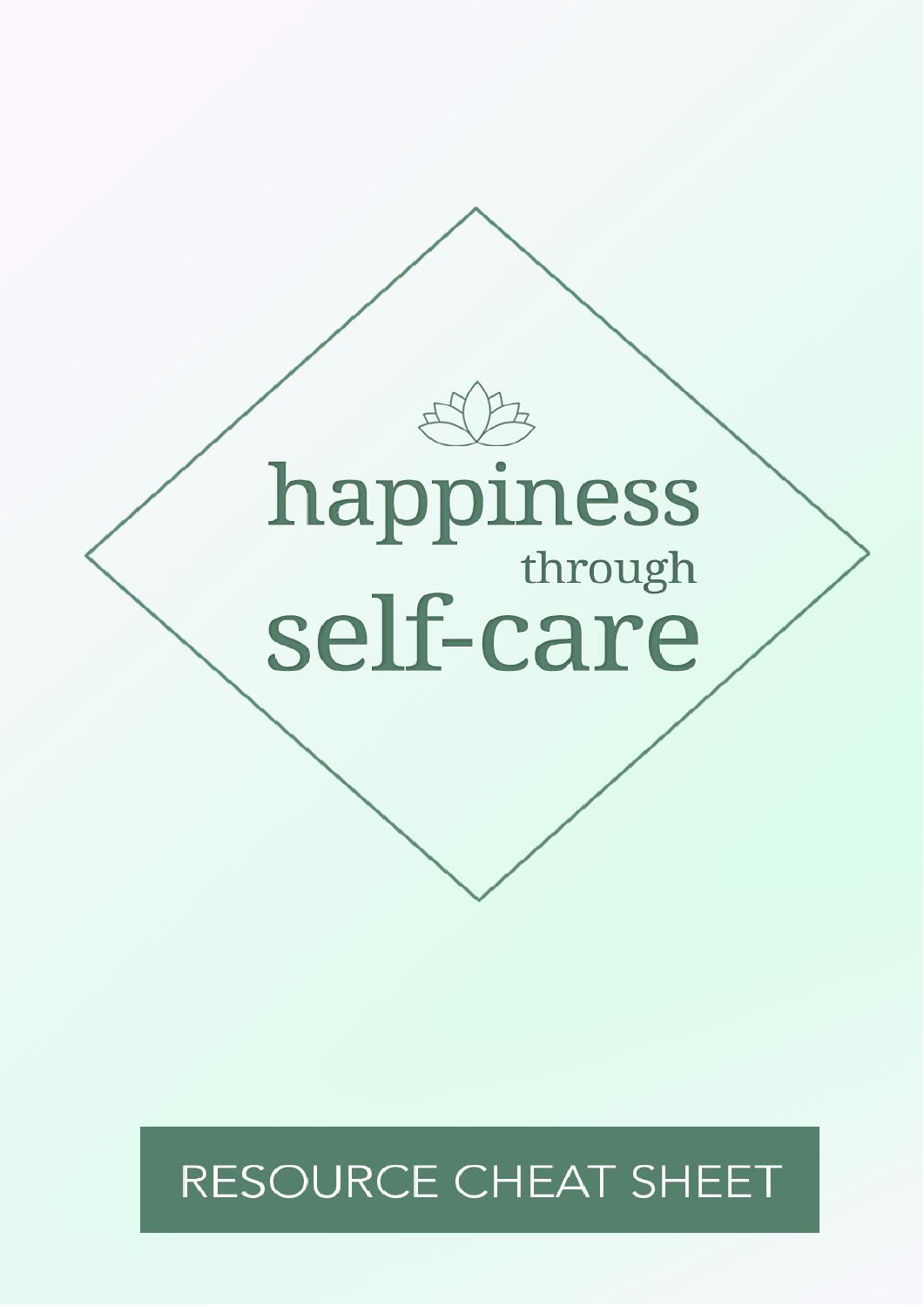

# RESOURCE CHEAT SHEET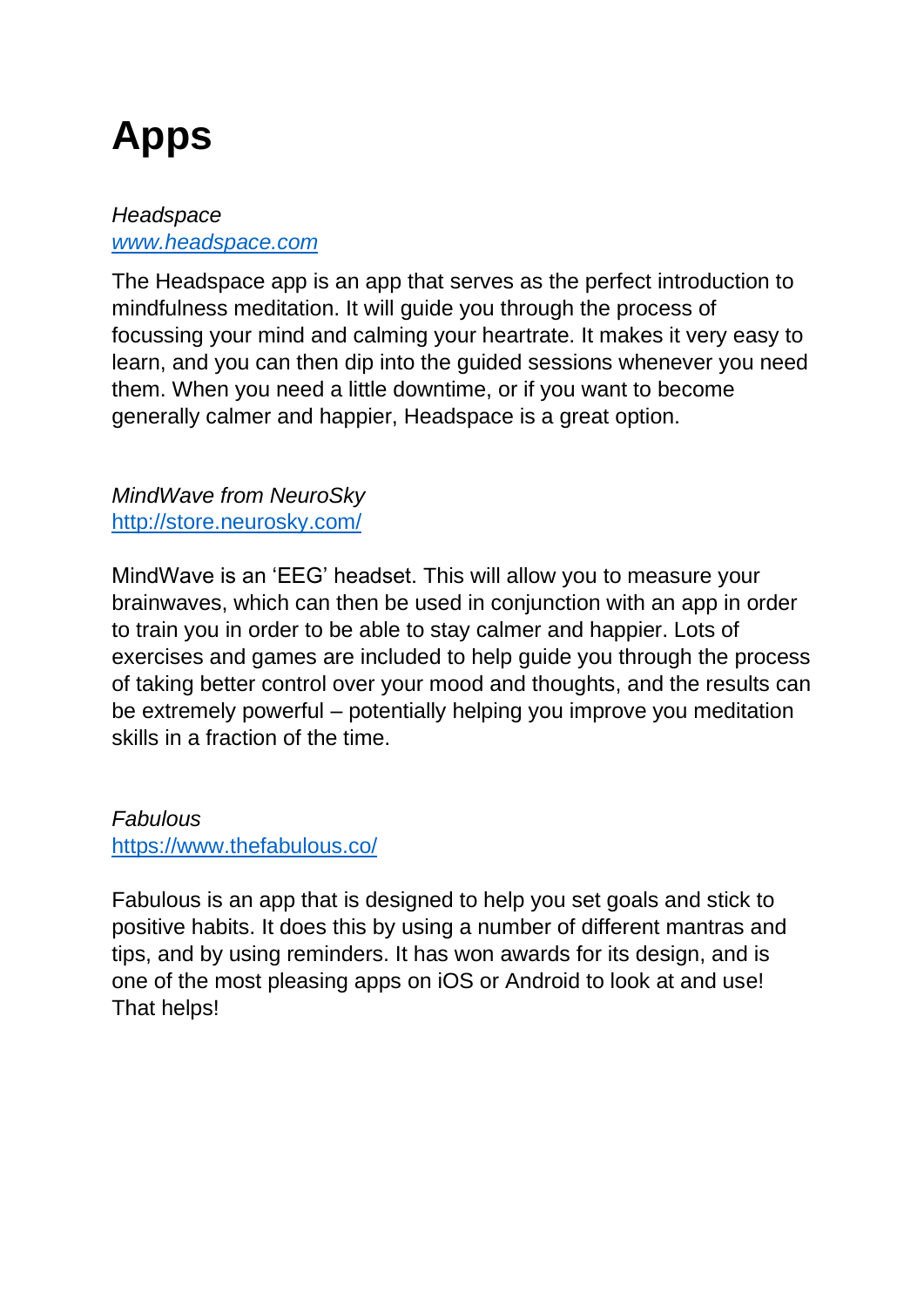# **Apps**

### *Headspace [www.headspace.com](http://www.headspace.com/)*

The Headspace app is an app that serves as the perfect introduction to mindfulness meditation. It will guide you through the process of focussing your mind and calming your heartrate. It makes it very easy to learn, and you can then dip into the guided sessions whenever you need them. When you need a little downtime, or if you want to become generally calmer and happier, Headspace is a great option.

*MindWave from NeuroSky* <http://store.neurosky.com/>

MindWave is an 'EEG' headset. This will allow you to measure your brainwaves, which can then be used in conjunction with an app in order to train you in order to be able to stay calmer and happier. Lots of exercises and games are included to help guide you through the process of taking better control over your mood and thoughts, and the results can be extremely powerful – potentially helping you improve you meditation skills in a fraction of the time.

*Fabulous* <https://www.thefabulous.co/>

Fabulous is an app that is designed to help you set goals and stick to positive habits. It does this by using a number of different mantras and tips, and by using reminders. It has won awards for its design, and is one of the most pleasing apps on iOS or Android to look at and use! That helps!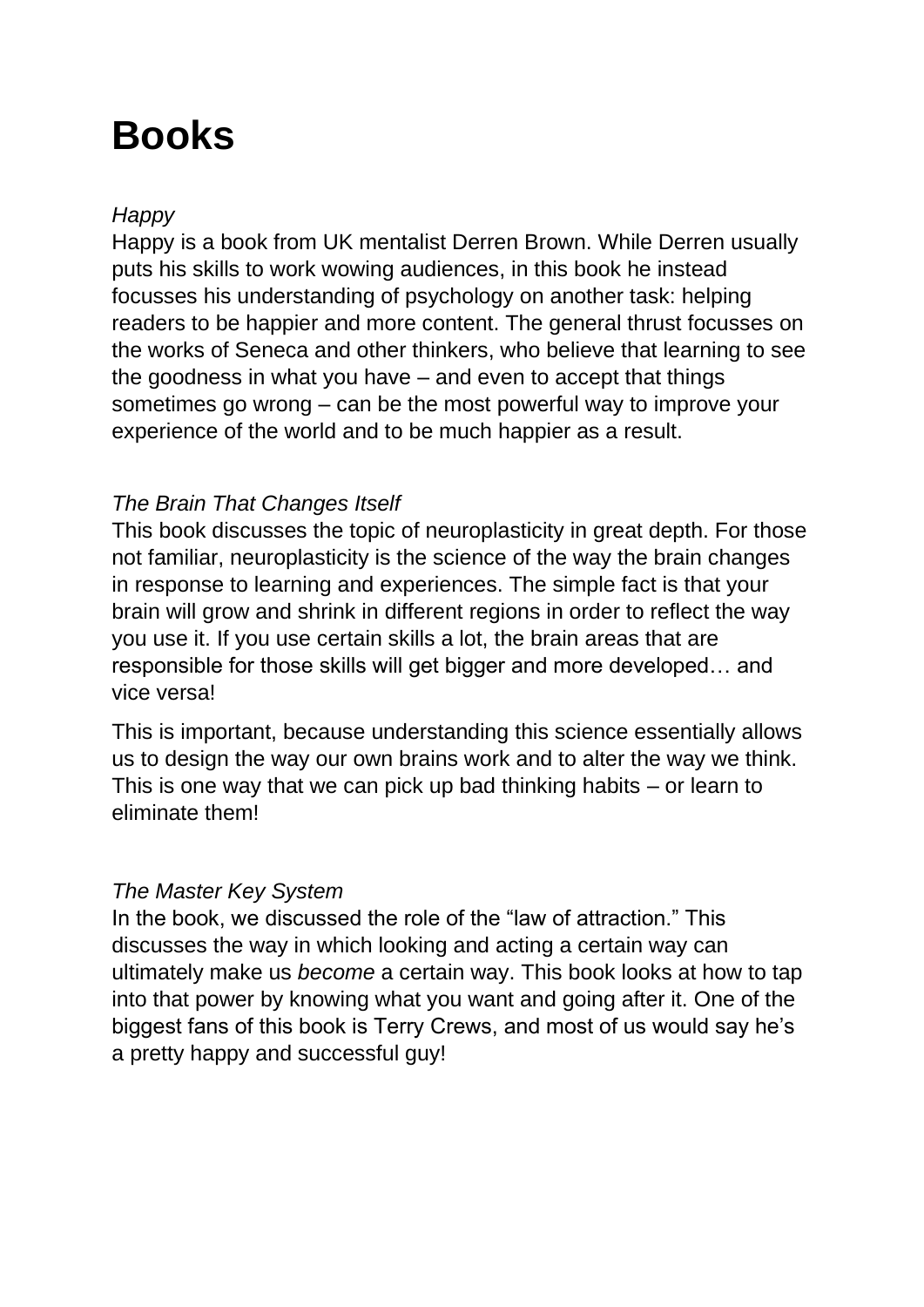## **Books**

### *Happy*

Happy is a book from UK mentalist Derren Brown. While Derren usually puts his skills to work wowing audiences, in this book he instead focusses his understanding of psychology on another task: helping readers to be happier and more content. The general thrust focusses on the works of Seneca and other thinkers, who believe that learning to see the goodness in what you have – and even to accept that things sometimes go wrong – can be the most powerful way to improve your experience of the world and to be much happier as a result.

#### *The Brain That Changes Itself*

This book discusses the topic of neuroplasticity in great depth. For those not familiar, neuroplasticity is the science of the way the brain changes in response to learning and experiences. The simple fact is that your brain will grow and shrink in different regions in order to reflect the way you use it. If you use certain skills a lot, the brain areas that are responsible for those skills will get bigger and more developed… and vice versa!

This is important, because understanding this science essentially allows us to design the way our own brains work and to alter the way we think. This is one way that we can pick up bad thinking habits – or learn to eliminate them!

#### *The Master Key System*

In the book, we discussed the role of the "law of attraction." This discusses the way in which looking and acting a certain way can ultimately make us *become* a certain way. This book looks at how to tap into that power by knowing what you want and going after it. One of the biggest fans of this book is Terry Crews, and most of us would say he's a pretty happy and successful guy!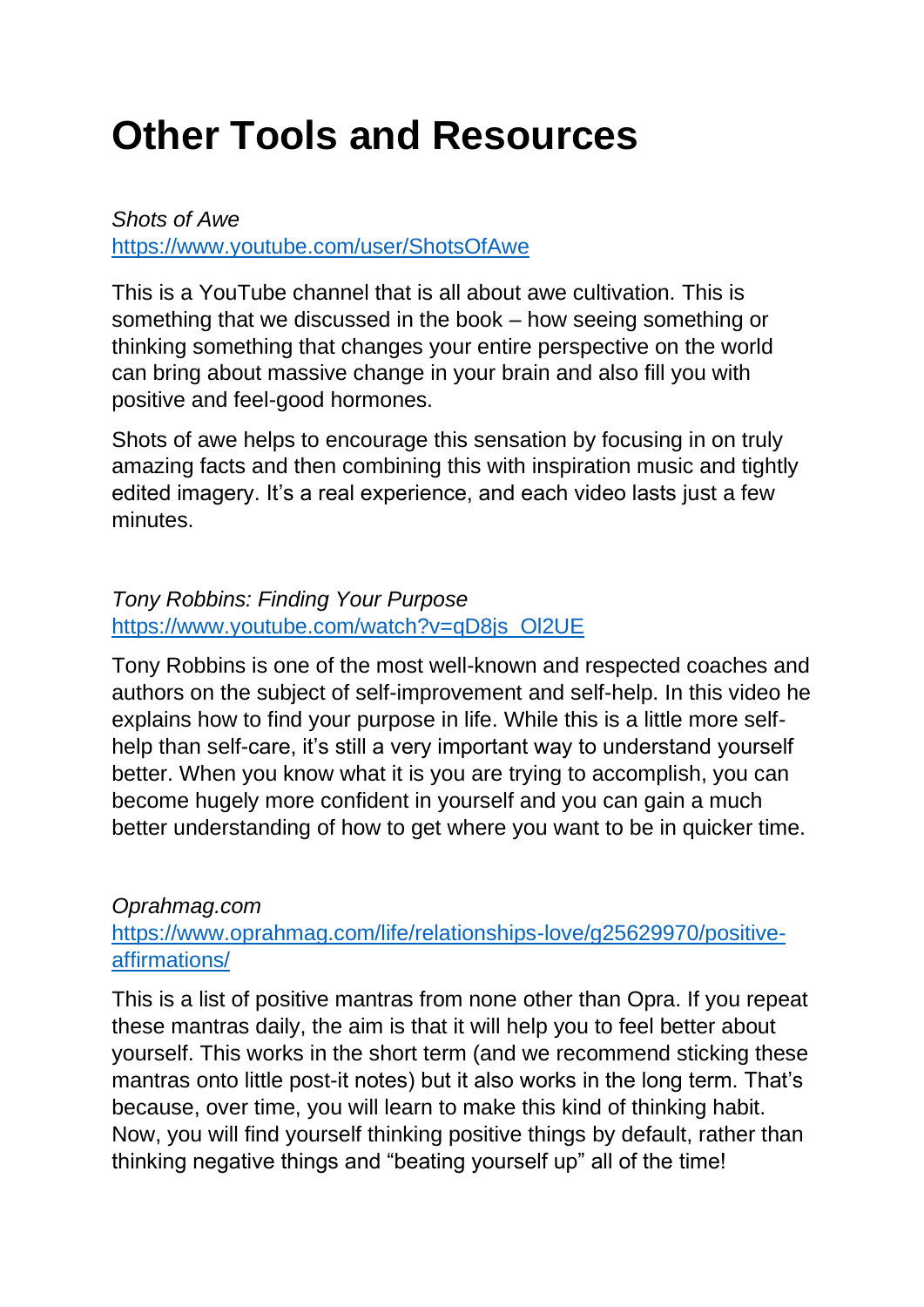# **Other Tools and Resources**

*Shots of Awe* <https://www.youtube.com/user/ShotsOfAwe>

This is a YouTube channel that is all about awe cultivation. This is something that we discussed in the book – how seeing something or thinking something that changes your entire perspective on the world can bring about massive change in your brain and also fill you with positive and feel-good hormones.

Shots of awe helps to encourage this sensation by focusing in on truly amazing facts and then combining this with inspiration music and tightly edited imagery. It's a real experience, and each video lasts just a few minutes.

### *Tony Robbins: Finding Your Purpose* [https://www.youtube.com/watch?v=qD8js\\_Ol2UE](https://www.youtube.com/watch?v=qD8js_Ol2UE)

Tony Robbins is one of the most well-known and respected coaches and authors on the subject of self-improvement and self-help. In this video he explains how to find your purpose in life. While this is a little more selfhelp than self-care, it's still a very important way to understand yourself better. When you know what it is you are trying to accomplish, you can become hugely more confident in yourself and you can gain a much better understanding of how to get where you want to be in quicker time.

#### *Oprahmag.com*

### [https://www.oprahmag.com/life/relationships-love/g25629970/positive](https://www.oprahmag.com/life/relationships-love/g25629970/positive-affirmations/)[affirmations/](https://www.oprahmag.com/life/relationships-love/g25629970/positive-affirmations/)

This is a list of positive mantras from none other than Opra. If you repeat these mantras daily, the aim is that it will help you to feel better about yourself. This works in the short term (and we recommend sticking these mantras onto little post-it notes) but it also works in the long term. That's because, over time, you will learn to make this kind of thinking habit. Now, you will find yourself thinking positive things by default, rather than thinking negative things and "beating yourself up" all of the time!